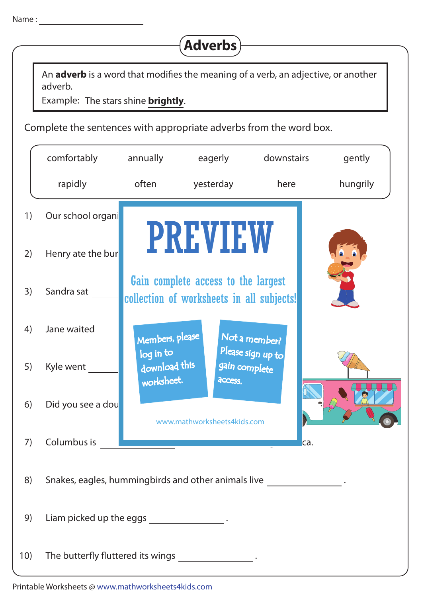

An **adverb** is a word that modifies the meaning of a verb, an adjective, or another adverb.

Example: The stars shine **brightly**.

Complete the sentences with appropriate adverbs from the word box.

|     | comfortably                                                                | annually                                 | eagerly                                                                          | downstairs        | gently   |  |  |  |  |
|-----|----------------------------------------------------------------------------|------------------------------------------|----------------------------------------------------------------------------------|-------------------|----------|--|--|--|--|
|     | rapidly                                                                    | often                                    | yesterday                                                                        | here              | hungrily |  |  |  |  |
| 1)  | Our school organi                                                          |                                          |                                                                                  |                   |          |  |  |  |  |
| 2)  | Henry ate the bur                                                          |                                          | <b>PREVIEW</b>                                                                   |                   |          |  |  |  |  |
| 3)  | Sandra sat                                                                 |                                          | Gain complete access to the largest<br>collection of worksheets in all subjects! |                   |          |  |  |  |  |
| 4)  | Jane waited                                                                | Members, please                          |                                                                                  | Not a member?     |          |  |  |  |  |
| 5)  | Kyle went                                                                  | log in to<br>download this<br>worksheet. | gain complete<br>access.                                                         | Please sign up to |          |  |  |  |  |
| 6)  | Did you see a dou                                                          |                                          | www.mathworksheets4kids.com                                                      |                   |          |  |  |  |  |
| 7)  | Columbus is                                                                |                                          |                                                                                  |                   | ca.      |  |  |  |  |
| 8)  | Snakes, eagles, hummingbirds and other animals live _____________________. |                                          |                                                                                  |                   |          |  |  |  |  |
| 9)  | Liam picked up the eggs ______________________.                            |                                          |                                                                                  |                   |          |  |  |  |  |
| 10) | The butterfly fluttered its wings ____________________.                    |                                          |                                                                                  |                   |          |  |  |  |  |

Printable Worksheets @ www.mathworksheets4kids.com